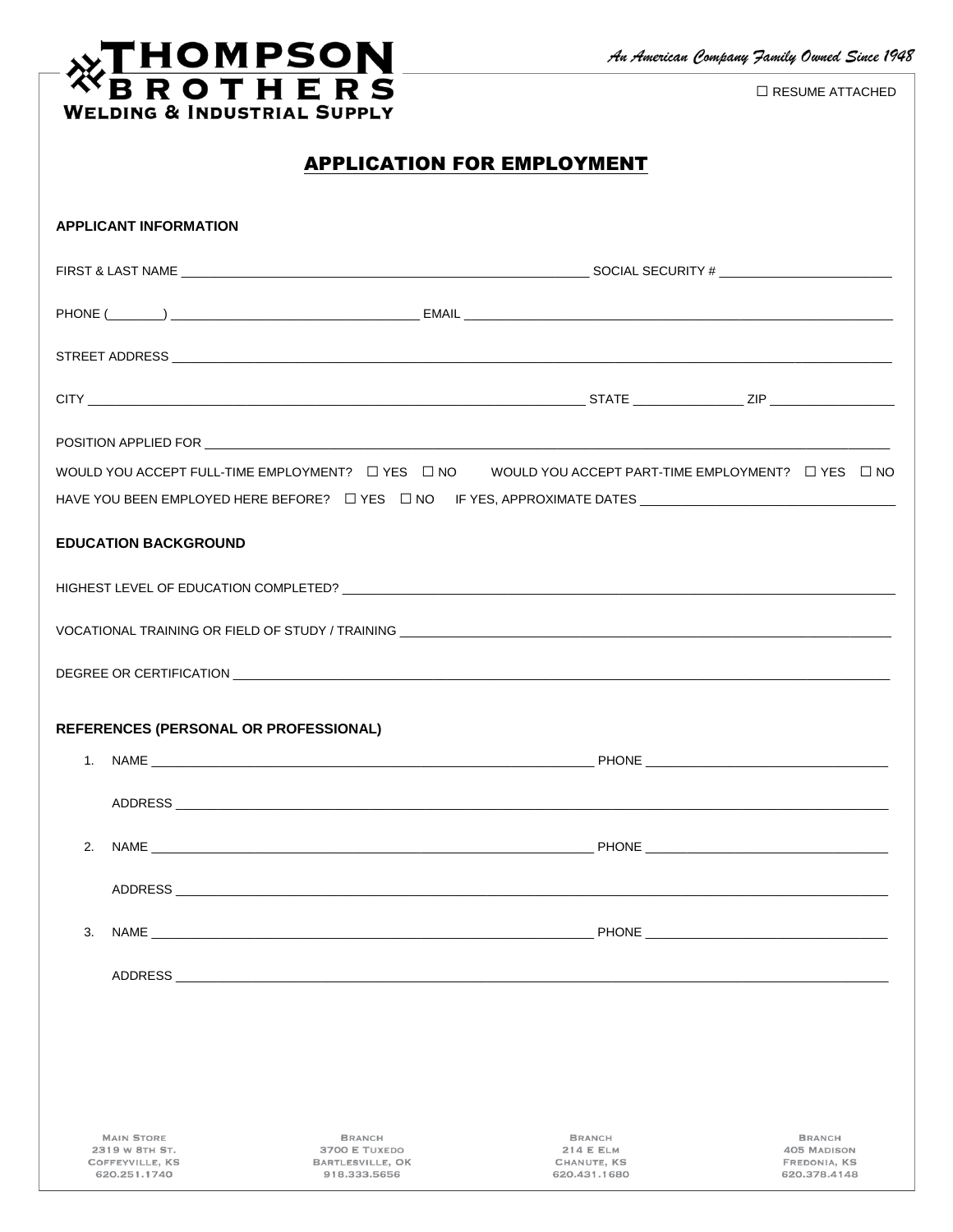## **WELDING & INDUSTRIAL SUPPLY**

 $\Box$ RESUME ATTACHED

|--|

|    | <b>APPLICANT INFORMATION</b>                                           |                                                                                                                |                                                                                                                                                    |                                                                     |
|----|------------------------------------------------------------------------|----------------------------------------------------------------------------------------------------------------|----------------------------------------------------------------------------------------------------------------------------------------------------|---------------------------------------------------------------------|
|    |                                                                        |                                                                                                                |                                                                                                                                                    |                                                                     |
|    |                                                                        |                                                                                                                |                                                                                                                                                    |                                                                     |
|    |                                                                        |                                                                                                                |                                                                                                                                                    |                                                                     |
|    |                                                                        |                                                                                                                |                                                                                                                                                    |                                                                     |
|    |                                                                        |                                                                                                                |                                                                                                                                                    |                                                                     |
|    |                                                                        |                                                                                                                | WOULD YOU ACCEPT FULL-TIME EMPLOYMENT? $\;\;\Box$ YES $\;\;\Box$ NO $\;\;\;\;$ WOULD YOU ACCEPT PART-TIME EMPLOYMENT? $\;\;\Box$ YES $\;\;\Box$ NO |                                                                     |
|    |                                                                        |                                                                                                                | HAVE YOU BEEN EMPLOYED HERE BEFORE? □ YES □ NO IF YES, APPROXIMATE DATES __________________________                                                |                                                                     |
|    | <b>EDUCATION BACKGROUND</b>                                            |                                                                                                                |                                                                                                                                                    |                                                                     |
|    |                                                                        |                                                                                                                |                                                                                                                                                    |                                                                     |
|    |                                                                        |                                                                                                                |                                                                                                                                                    |                                                                     |
|    |                                                                        |                                                                                                                |                                                                                                                                                    |                                                                     |
|    |                                                                        | REFERENCES (PERSONAL OR PROFESSIONAL)                                                                          |                                                                                                                                                    |                                                                     |
|    |                                                                        |                                                                                                                |                                                                                                                                                    |                                                                     |
|    |                                                                        |                                                                                                                |                                                                                                                                                    |                                                                     |
|    |                                                                        |                                                                                                                |                                                                                                                                                    |                                                                     |
|    |                                                                        | ADDRESS AND THE RESIDENCE OF THE RESIDENCE OF THE RESIDENCE OF THE RESIDENCE OF THE RESIDENCE OF THE RESIDENCE |                                                                                                                                                    |                                                                     |
| 3. |                                                                        |                                                                                                                |                                                                                                                                                    |                                                                     |
|    |                                                                        |                                                                                                                |                                                                                                                                                    |                                                                     |
|    |                                                                        |                                                                                                                |                                                                                                                                                    |                                                                     |
|    |                                                                        |                                                                                                                |                                                                                                                                                    |                                                                     |
|    |                                                                        |                                                                                                                |                                                                                                                                                    |                                                                     |
|    |                                                                        |                                                                                                                |                                                                                                                                                    |                                                                     |
|    | <b>MAIN STORE</b><br>2319 W 8TH ST.<br>COFFEYVILLE, KS<br>620.251.1740 | <b>BRANCH</b><br>3700 E TUXEDO<br>BARTLESVILLE, OK<br>918.333.5656                                             | <b>BRANCH</b><br><b>214 E ELM</b><br>CHANUTE, KS<br>620.431.1680                                                                                   | <b>BRANCH</b><br><b>405 MADISON</b><br>FREDONIA, KS<br>620.378.4148 |
|    |                                                                        |                                                                                                                |                                                                                                                                                    |                                                                     |